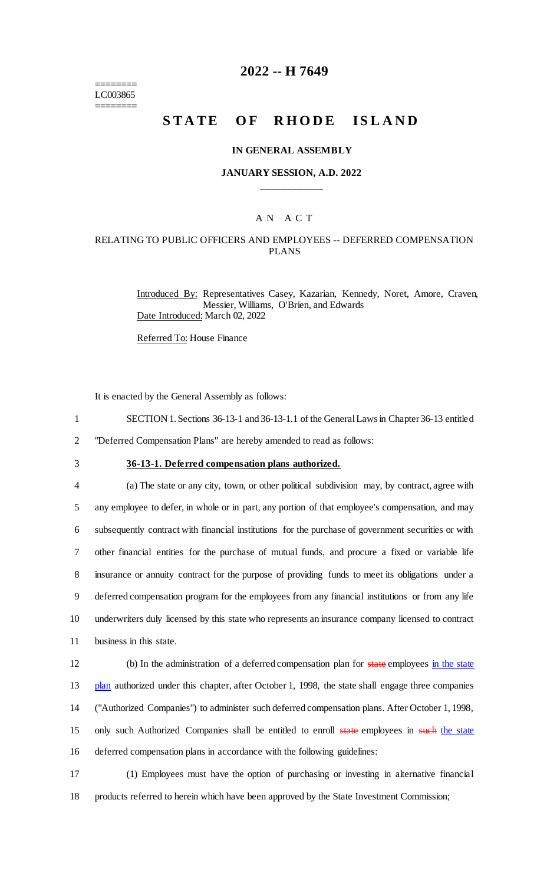======== LC003865 ========

### **2022 -- H 7649**

# **STATE OF RHODE ISLAND**

#### **IN GENERAL ASSEMBLY**

#### **JANUARY SESSION, A.D. 2022 \_\_\_\_\_\_\_\_\_\_\_\_**

### A N A C T

#### RELATING TO PUBLIC OFFICERS AND EMPLOYEES -- DEFERRED COMPENSATION PLANS

Introduced By: Representatives Casey, Kazarian, Kennedy, Noret, Amore, Craven, Messier, Williams, O'Brien, and Edwards Date Introduced: March 02, 2022

Referred To: House Finance

It is enacted by the General Assembly as follows:

- 1 SECTION 1. Sections 36-13-1 and 36-13-1.1 of the General Laws in Chapter 36-13 entitled
- 2 "Deferred Compensation Plans" are hereby amended to read as follows:
- 

## 3 **36-13-1. Deferred compensation plans authorized.**

 (a) The state or any city, town, or other political subdivision may, by contract, agree with any employee to defer, in whole or in part, any portion of that employee's compensation, and may subsequently contract with financial institutions for the purchase of government securities or with other financial entities for the purchase of mutual funds, and procure a fixed or variable life insurance or annuity contract for the purpose of providing funds to meet its obligations under a deferred compensation program for the employees from any financial institutions or from any life underwriters duly licensed by this state who represents an insurance company licensed to contract business in this state.

12 (b) In the administration of a deferred compensation plan for state employees in the state 13 plan authorized under this chapter, after October 1, 1998, the state shall engage three companies 14 ("Authorized Companies") to administer such deferred compensation plans. After October 1, 1998, 15 only such Authorized Companies shall be entitled to enroll state employees in such the state 16 deferred compensation plans in accordance with the following guidelines:

17 (1) Employees must have the option of purchasing or investing in alternative financial 18 products referred to herein which have been approved by the State Investment Commission;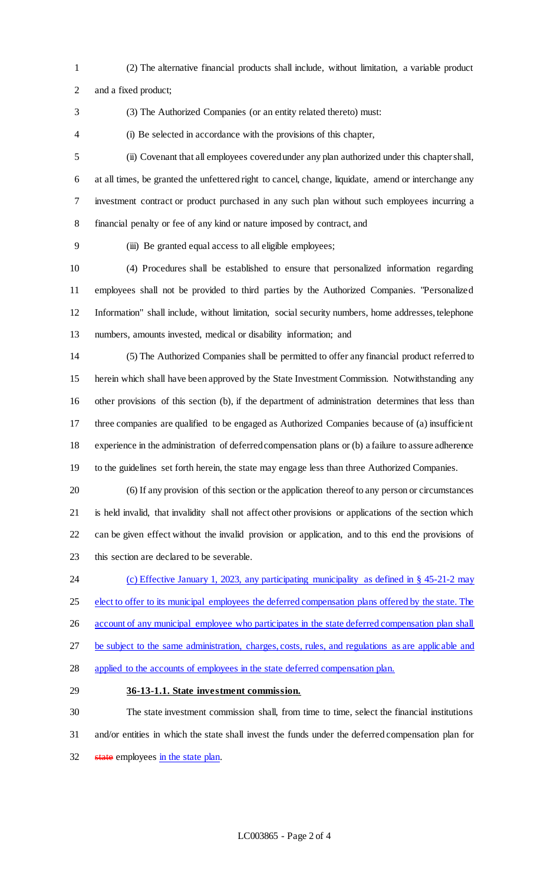- (2) The alternative financial products shall include, without limitation, a variable product
- and a fixed product;
- 

(3) The Authorized Companies (or an entity related thereto) must:

(i) Be selected in accordance with the provisions of this chapter,

 (ii) Covenant that all employees covered under any plan authorized under this chapter shall, at all times, be granted the unfettered right to cancel, change, liquidate, amend or interchange any investment contract or product purchased in any such plan without such employees incurring a financial penalty or fee of any kind or nature imposed by contract, and

(iii) Be granted equal access to all eligible employees;

 (4) Procedures shall be established to ensure that personalized information regarding employees shall not be provided to third parties by the Authorized Companies. "Personalized Information" shall include, without limitation, social security numbers, home addresses, telephone numbers, amounts invested, medical or disability information; and

 (5) The Authorized Companies shall be permitted to offer any financial product referred to herein which shall have been approved by the State Investment Commission. Notwithstanding any other provisions of this section (b), if the department of administration determines that less than three companies are qualified to be engaged as Authorized Companies because of (a) insufficient experience in the administration of deferred compensation plans or (b) a failure to assure adherence to the guidelines set forth herein, the state may engage less than three Authorized Companies.

 (6) If any provision of this section or the application thereof to any person or circumstances is held invalid, that invalidity shall not affect other provisions or applications of the section which can be given effect without the invalid provision or application, and to this end the provisions of this section are declared to be severable.

 (c) Effective January 1, 2023, any participating municipality as defined in § 45-21-2 may 25 elect to offer to its municipal employees the deferred compensation plans offered by the state. The 26 account of any municipal employee who participates in the state deferred compensation plan shall 27 be subject to the same administration, charges, costs, rules, and regulations as are applicable and 28 applied to the accounts of employees in the state deferred compensation plan.

### **36-13-1.1. State investment commission.**

 The state investment commission shall, from time to time, select the financial institutions and/or entities in which the state shall invest the funds under the deferred compensation plan for 32 state employees in the state plan.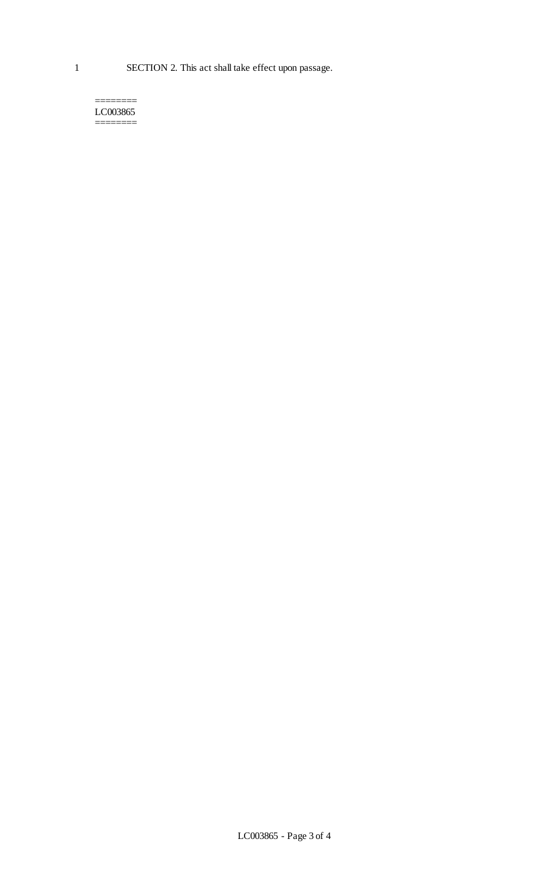======== LC003865 ========